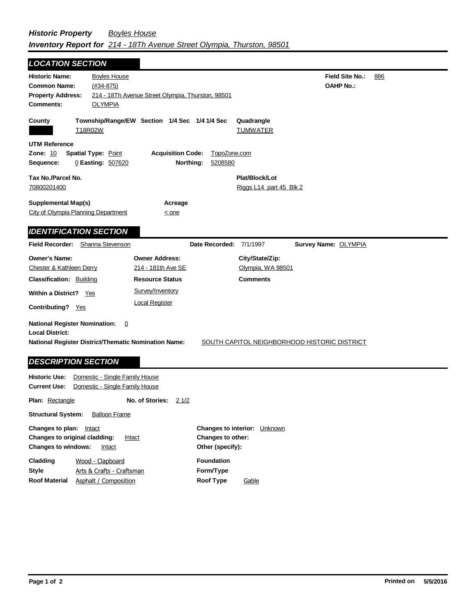| <b>LOCATION SECTION</b>                                                                                                                                                                         |                                |                                                   |                         |                               |                      |     |  |
|-------------------------------------------------------------------------------------------------------------------------------------------------------------------------------------------------|--------------------------------|---------------------------------------------------|-------------------------|-------------------------------|----------------------|-----|--|
| <b>Historic Name:</b>                                                                                                                                                                           | <b>Boyles House</b>            |                                                   |                         |                               | Field Site No.:      | 886 |  |
| <b>Common Name:</b>                                                                                                                                                                             | $(#34-875)$                    |                                                   |                         |                               | <b>OAHP No.:</b>     |     |  |
| <b>Property Address:</b>                                                                                                                                                                        |                                | 214 - 18Th Avenue Street Olympia, Thurston, 98501 |                         |                               |                      |     |  |
| <b>Comments:</b>                                                                                                                                                                                | <b>OLYMPIA</b>                 |                                                   |                         |                               |                      |     |  |
| County                                                                                                                                                                                          | T18R02W                        | Township/Range/EW Section 1/4 Sec 1/4 1/4 Sec     |                         | Quadrangle<br><b>TUMWATER</b> |                      |     |  |
| <b>UTM Reference</b>                                                                                                                                                                            |                                |                                                   |                         |                               |                      |     |  |
| Zone: 10                                                                                                                                                                                        | <b>Spatial Type: Point</b>     | <b>Acquisition Code:</b>                          | TopoZone.com            |                               |                      |     |  |
| Sequence:                                                                                                                                                                                       | 0 Easting: 507620              | Northing:                                         | 5208580                 |                               |                      |     |  |
| Tax No./Parcel No.                                                                                                                                                                              |                                |                                                   |                         | Plat/Block/Lot                |                      |     |  |
| 70800201400                                                                                                                                                                                     |                                |                                                   |                         | Riggs L14 part 45 Blk 2       |                      |     |  |
|                                                                                                                                                                                                 |                                |                                                   |                         |                               |                      |     |  |
| <b>Supplemental Map(s)</b>                                                                                                                                                                      |                                | Acreage                                           |                         |                               |                      |     |  |
| City of Olympia Planning Department                                                                                                                                                             |                                | $\leq$ one                                        |                         |                               |                      |     |  |
| <b>IDENTIFICATION SECTION</b>                                                                                                                                                                   |                                |                                                   |                         |                               |                      |     |  |
|                                                                                                                                                                                                 |                                |                                                   |                         |                               |                      |     |  |
| <b>Field Recorder:</b> Shanna Stevenson                                                                                                                                                         |                                |                                                   | Date Recorded: 7/1/1997 |                               | Survey Name: OLYMPIA |     |  |
| <b>Owner's Name:</b>                                                                                                                                                                            |                                | <b>Owner Address:</b>                             |                         | City/State/Zip:               |                      |     |  |
| Chester & Kathleen Derry                                                                                                                                                                        |                                | 214 - 181th Ave SE                                |                         | Olympia, WA 98501             |                      |     |  |
| <b>Classification: Building</b>                                                                                                                                                                 |                                | <b>Resource Status</b>                            |                         | <b>Comments</b>               |                      |     |  |
| <b>Within a District?</b>                                                                                                                                                                       | Yes                            | Survey/Inventory                                  |                         |                               |                      |     |  |
|                                                                                                                                                                                                 |                                | <b>Local Register</b>                             |                         |                               |                      |     |  |
| <b>Contributing?</b> Yes                                                                                                                                                                        |                                |                                                   |                         |                               |                      |     |  |
| <b>National Register Nomination:</b><br>$\overline{0}$<br><b>Local District:</b><br><b>National Register District/Thematic Nomination Name:</b><br>SOUTH CAPITOL NEIGHBORHOOD HISTORIC DISTRICT |                                |                                                   |                         |                               |                      |     |  |
| <b>DESCRIPTION SECTION</b>                                                                                                                                                                      |                                |                                                   |                         |                               |                      |     |  |
| <b>Historic Use:</b>                                                                                                                                                                            | Domestic - Single Family House |                                                   |                         |                               |                      |     |  |
| <b>Current Use:</b><br>Domestic - Single Family House                                                                                                                                           |                                |                                                   |                         |                               |                      |     |  |
|                                                                                                                                                                                                 |                                |                                                   |                         |                               |                      |     |  |

**Plan:** Rectangle **Structural System:** Balloon Frame **No. of Stories:** 21/2 **Changes to plan:** Intact **Changes to original cladding: Intact Changes to interior:** Unknown **Changes to other:**

**Other (specify): Style Changes to windows:** Intact **Cladding Roof Material Foundation Form/Type Roof Type** Arts & Crafts - Craftsman Wood - Clapboard Asphalt / Composition **Gable**